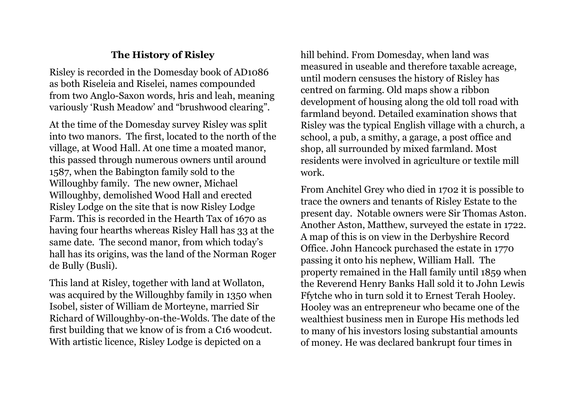## **The History of Risley**

Risley is recorded in the Domesday book of AD1086 as both Riseleia and Riselei, names compounded from two Anglo-Saxon words, hris and leah, meaning variously 'Rush Meadow' and "brushwood clearing".

At the time of the Domesday survey Risley was split into two manors. The first, located to the north of the village, at Wood Hall. At one time a moated manor, this passed through numerous owners until around 1587, when the Babington family sold to the Willoughby family. The new owner, Michael Willoughby, demolished Wood Hall and erected Risley Lodge on the site that is now Risley Lodge Farm. This is recorded in the Hearth Tax of 1670 as having four hearths whereas Risley Hall has 33 at the same date. The second manor, from which today's hall has its origins, was the land of the Norman Roger de Bully (Busli).

This land at Risley, together with land at Wollaton, was acquired by the Willoughby family in 1350 when Isobel, sister of William de Morteyne, married Sir Richard of Willoughby-on-the-Wolds. The date of the first building that we know of is from a C16 woodcut. With artistic licence, Risley Lodge is depicted on a

hill behind. From Domesday, when land was measured in useable and therefore taxable acreage, until modern censuses the history of Risley has centred on farming. Old maps show a ribbon development of housing along the old toll road with farmland beyond. Detailed examination shows that Risley was the typical English village with a church, a school, a pub, a smithy, a garage, a post office and shop, all surrounded by mixed farmland. Most residents were involved in agriculture or textile mill work.

From Anchitel Grey who died in 1702 it is possible to trace the owners and tenants of Risley Estate to the present day. Notable owners were Sir Thomas Aston. Another Aston, Matthew, surveyed the estate in 1722. A map of this is on view in the Derbyshire Record Office. John Hancock purchased the estate in 1770 passing it onto his nephew, William Hall. The property remained in the Hall family until 1859 when the Reverend Henry Banks Hall sold it to John Lewis Ffytche who in turn sold it to Ernest Terah Hooley. Hooley was an entrepreneur who became one of the wealthiest business men in Europe His methods led to many of his investors losing substantial amounts of money. He was declared bankrupt four times in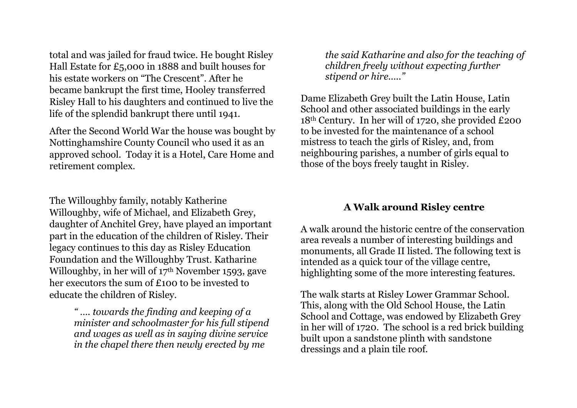total and was jailed for fraud twice. He bought Risley Hall Estate for £5,000 in 1888 and built houses for his estate workers on "The Crescent". After he became bankrupt the first time, Hooley transferred Risley Hall to his daughters and continued to live the life of the splendid bankrupt there until 1941.

After the Second World War the house was bought by Nottinghamshire County Council who used it as an approved school. Today it is a Hotel, Care Home and retirement complex.

The Willoughby family, notably Katherine Willoughby, wife of Michael, and Elizabeth Grey, daughter of Anchitel Grey, have played an important part in the education of the children of Risley. Their legacy continues to this day as Risley Education Foundation and the Willoughby Trust. Katharine Willoughby, in her will of 17<sup>th</sup> November 1593, gave her executors the sum of  $f$ 100 to be invested to educate the children of Risley.

> *" …. towards the finding and keeping of a minister and schoolmaster for his full stipend and wages as well as in saying divine service in the chapel there then newly erected by me*

*the said Katharine and also for the teaching of children freely without expecting further stipend or hire....."*

Dame Elizabeth Grey built the Latin House, Latin School and other associated buildings in the early 18th Century. In her will of 1720, she provided £200 to be invested for the maintenance of a school mistress to teach the girls of Risley, and, from neighbouring parishes, a number of girls equal to those of the boys freely taught in Risley.

## **A Walk around Risley centre**

A walk around the historic centre of the conservation area reveals a number of interesting buildings and monuments, all Grade II listed. The following text is intended as a quick tour of the village centre, highlighting some of the more interesting features.

The walk starts at Risley Lower Grammar School. This, along with the Old School House, the Latin School and Cottage, was endowed by Elizabeth Grey in her will of 1720. The school is a red brick building built upon a sandstone plinth with sandstone dressings and a plain tile roof.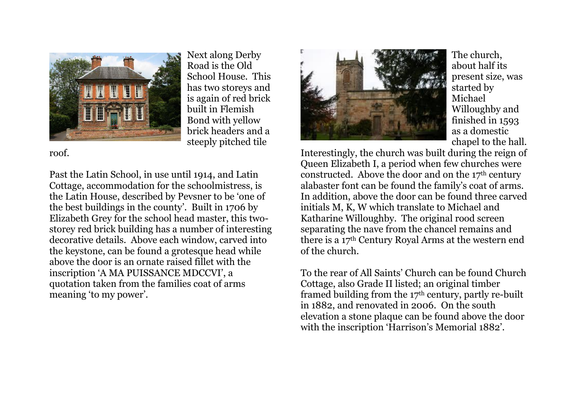

Next along Derby Road is the Old School House. This has two storeys and is again of red brick built in Flemish Bond with yellow brick headers and a steeply pitched tile

roof.

Past the Latin School, in use until 1914, and Latin Cottage, accommodation for the schoolmistress, is the Latin House, described by Pevsner to be 'one of the best buildings in the county'. Built in 1706 by Elizabeth Grey for the school head master, this twostorey red brick building has a number of interesting decorative details. Above each window, carved into the keystone, can be found a grotesque head while above the door is an ornate raised fillet with the inscription 'A MA PUISSANCE MDCCVI', a quotation taken from the families coat of arms meaning 'to my power'.



The church, about half its present size, was started by Michael Willoughby and finished in 1593 as a domestic chapel to the hall.

Interestingly, the church was built during the reign of Queen Elizabeth I, a period when few churches were constructed. Above the door and on the 17th century alabaster font can be found the family's coat of arms. In addition, above the door can be found three carved initials M, K, W which translate to Michael and Katharine Willoughby. The original rood screen separating the nave from the chancel remains and there is a 17th Century Royal Arms at the western end of the church.

To the rear of All Saints' Church can be found Church Cottage, also Grade II listed; an original timber framed building from the 17th century, partly re-built in 1882, and renovated in 2006. On the south elevation a stone plaque can be found above the door with the inscription 'Harrison's Memorial 1882'.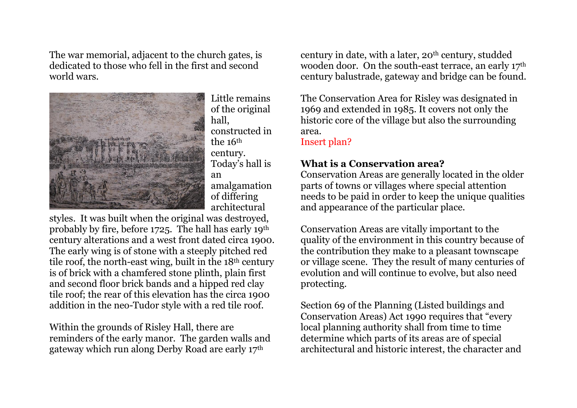The war memorial, adjacent to the church gates, is dedicated to those who fell in the first and second world wars.



Little remains of the original hall, constructed in the 16th century. Today's hall is an amalgamation of differing architectural

styles. It was built when the original was destroyed, probably by fire, before 1725. The hall has early 19th century alterations and a west front dated circa 1900. The early wing is of stone with a steeply pitched red tile roof, the north-east wing, built in the 18th century is of brick with a chamfered stone plinth, plain first and second floor brick bands and a hipped red clay tile roof; the rear of this elevation has the circa 1900 addition in the neo-Tudor style with a red tile roof.

Within the grounds of Risley Hall, there are reminders of the early manor. The garden walls and gateway which run along Derby Road are early 17th

century in date, with a later,  $20<sup>th</sup>$  century, studded wooden door. On the south-east terrace, an early 17<sup>th</sup> century balustrade, gateway and bridge can be found.

The Conservation Area for Risley was designated in 1969 and extended in 1985. It covers not only the historic core of the village but also the surrounding area.

Insert plan?

## **What is a Conservation area?**

Conservation Areas are generally located in the older parts of towns or villages where special attention needs to be paid in order to keep the unique qualities and appearance of the particular place.

Conservation Areas are vitally important to the quality of the environment in this country because of the contribution they make to a pleasant townscape or village scene. They the result of many centuries of evolution and will continue to evolve, but also need protecting.

Section 69 of the Planning (Listed buildings and Conservation Areas) Act 1990 requires that "every local planning authority shall from time to time determine which parts of its areas are of special architectural and historic interest, the character and